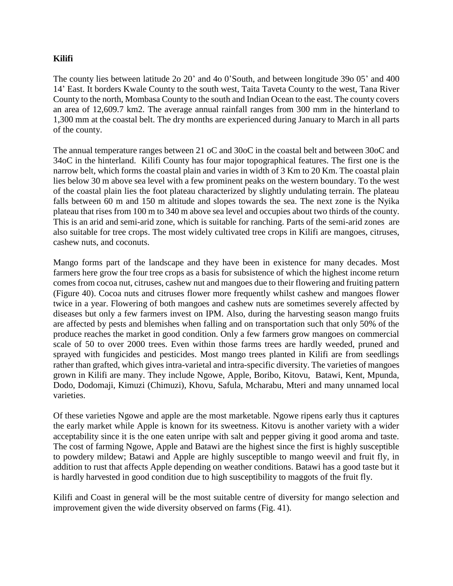## **Kilifi**

The county lies between latitude 2o 20' and 4o 0'South, and between longitude 39o 05' and 400 14' East. It borders Kwale County to the south west, Taita Taveta County to the west, Tana River County to the north, Mombasa County to the south and Indian Ocean to the east. The county covers an area of 12,609.7 km2. The average annual rainfall ranges from 300 mm in the hinterland to 1,300 mm at the coastal belt. The dry months are experienced during January to March in all parts of the county.

The annual temperature ranges between 21 oC and 30oC in the coastal belt and between 30oC and 34oC in the hinterland. Kilifi County has four major topographical features. The first one is the narrow belt, which forms the coastal plain and varies in width of 3 Km to 20 Km. The coastal plain lies below 30 m above sea level with a few prominent peaks on the western boundary. To the west of the coastal plain lies the foot plateau characterized by slightly undulating terrain. The plateau falls between 60 m and 150 m altitude and slopes towards the sea. The next zone is the Nyika plateau that rises from 100 m to 340 m above sea level and occupies about two thirds of the county. This is an arid and semi-arid zone, which is suitable for ranching. Parts of the semi-arid zones are also suitable for tree crops. The most widely cultivated tree crops in Kilifi are mangoes, citruses, cashew nuts, and coconuts.

Mango forms part of the landscape and they have been in existence for many decades. Most farmers here grow the four tree crops as a basis for subsistence of which the highest income return comes from cocoa nut, citruses, cashew nut and mangoes due to their flowering and fruiting pattern (Figure 40). Cocoa nuts and citruses flower more frequently whilst cashew and mangoes flower twice in a year. Flowering of both mangoes and cashew nuts are sometimes severely affected by diseases but only a few farmers invest on IPM. Also, during the harvesting season mango fruits are affected by pests and blemishes when falling and on transportation such that only 50% of the produce reaches the market in good condition. Only a few farmers grow mangoes on commercial scale of 50 to over 2000 trees. Even within those farms trees are hardly weeded, pruned and sprayed with fungicides and pesticides. Most mango trees planted in Kilifi are from seedlings rather than grafted, which gives intra-varietal and intra-specific diversity. The varieties of mangoes grown in Kilifi are many. They include Ngowe, Apple, Boribo, Kitovu, Batawi, Kent, Mpunda, Dodo, Dodomaji, Kimuzi (Chimuzi), Khovu, Safula, Mcharabu, Mteri and many unnamed local varieties.

Of these varieties Ngowe and apple are the most marketable. Ngowe ripens early thus it captures the early market while Apple is known for its sweetness. Kitovu is another variety with a wider acceptability since it is the one eaten unripe with salt and pepper giving it good aroma and taste. The cost of farming Ngowe, Apple and Batawi are the highest since the first is highly susceptible to powdery mildew; Batawi and Apple are highly susceptible to mango weevil and fruit fly, in addition to rust that affects Apple depending on weather conditions. Batawi has a good taste but it is hardly harvested in good condition due to high susceptibility to maggots of the fruit fly.

Kilifi and Coast in general will be the most suitable centre of diversity for mango selection and improvement given the wide diversity observed on farms (Fig. 41).